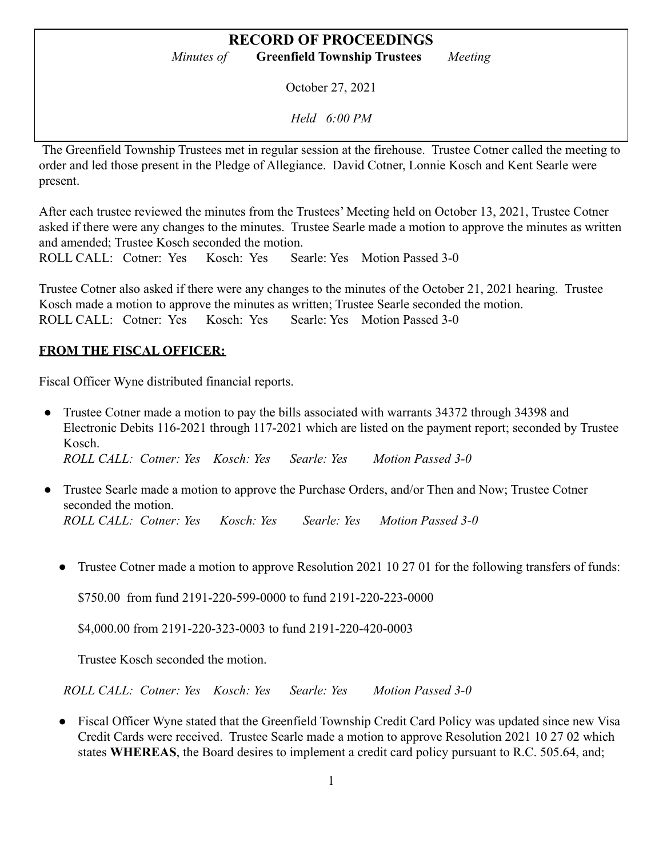October 27, 2021

*Held 6:00 PM*

The Greenfield Township Trustees met in regular session at the firehouse. Trustee Cotner called the meeting to order and led those present in the Pledge of Allegiance. David Cotner, Lonnie Kosch and Kent Searle were present.

After each trustee reviewed the minutes from the Trustees' Meeting held on October 13, 2021, Trustee Cotner asked if there were any changes to the minutes. Trustee Searle made a motion to approve the minutes as written and amended; Trustee Kosch seconded the motion.

ROLL CALL: Cotner: Yes Kosch: Yes Searle: Yes Motion Passed 3-0

Trustee Cotner also asked if there were any changes to the minutes of the October 21, 2021 hearing. Trustee Kosch made a motion to approve the minutes as written; Trustee Searle seconded the motion. ROLL CALL: Cotner: Yes Kosch: Yes Searle: Yes Motion Passed 3-0

#### **FROM THE FISCAL OFFICER:**

Fiscal Officer Wyne distributed financial reports.

- Trustee Cotner made a motion to pay the bills associated with warrants 34372 through 34398 and Electronic Debits 116-2021 through 117-2021 which are listed on the payment report; seconded by Trustee Kosch. *ROLL CALL: Cotner: Yes Kosch: Yes Searle: Yes Motion Passed 3-0*
- Trustee Searle made a motion to approve the Purchase Orders, and/or Then and Now; Trustee Cotner seconded the motion. *ROLL CALL: Cotner: Yes Kosch: Yes Searle: Yes Motion Passed 3-0*
	- Trustee Cotner made a motion to approve Resolution 2021 10 27 01 for the following transfers of funds:

\$750.00 from fund 2191-220-599-0000 to fund 2191-220-223-0000

\$4,000.00 from 2191-220-323-0003 to fund 2191-220-420-0003

Trustee Kosch seconded the motion.

*ROLL CALL: Cotner: Yes Kosch: Yes Searle: Yes Motion Passed 3-0*

• Fiscal Officer Wyne stated that the Greenfield Township Credit Card Policy was updated since new Visa Credit Cards were received. Trustee Searle made a motion to approve Resolution 2021 10 27 02 which states **WHEREAS**, the Board desires to implement a credit card policy pursuant to R.C. 505.64, and;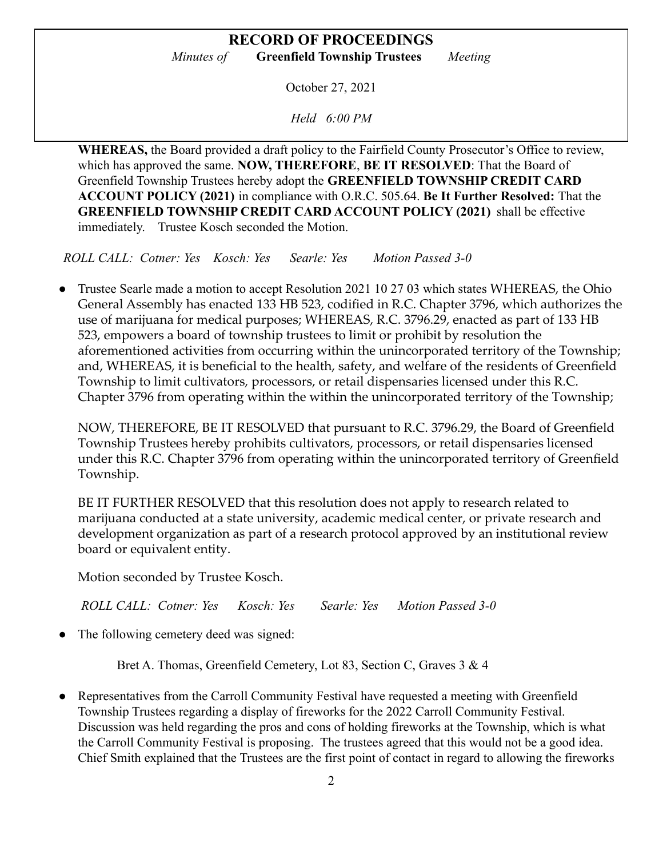October 27, 2021

*Held 6:00 PM*

**WHEREAS,** the Board provided a draft policy to the Fairfield County Prosecutor's Office to review, which has approved the same. **NOW, THEREFORE**, **BE IT RESOLVED**: That the Board of Greenfield Township Trustees hereby adopt the **GREENFIELD TOWNSHIP CREDIT CARD ACCOUNT POLICY (2021)** in compliance with O.R.C. 505.64. **Be It Further Resolved:** That the **GREENFIELD TOWNSHIP CREDIT CARD ACCOUNT POLICY (2021)** shall be effective immediately. Trustee Kosch seconded the Motion.

*ROLL CALL: Cotner: Yes Kosch: Yes Searle: Yes Motion Passed 3-0*

Trustee Searle made a motion to accept Resolution 2021 10 27 03 which states WHEREAS, the Ohio General Assembly has enacted 133 HB 523, codified in R.C. Chapter 3796, which authorizes the use of marijuana for medical purposes; WHEREAS, R.C. 3796.29, enacted as part of 133 HB 523, empowers a board of township trustees to limit or prohibit by resolution the aforementioned activities from occurring within the unincorporated territory of the Township; and, WHEREAS, it is beneficial to the health, safety, and welfare of the residents of Greenfield Township to limit cultivators, processors, or retail dispensaries licensed under this R.C. Chapter 3796 from operating within the within the unincorporated territory of the Township;

NOW, THEREFORE, BE IT RESOLVED that pursuant to R.C. 3796.29, the Board of Greenfield Township Trustees hereby prohibits cultivators, processors, or retail dispensaries licensed under this R.C. Chapter 3796 from operating within the unincorporated territory of Greenfield Township.

BE IT FURTHER RESOLVED that this resolution does not apply to research related to marijuana conducted at a state university, academic medical center, or private research and development organization as part of a research protocol approved by an institutional review board or equivalent entity.

Motion seconded by Trustee Kosch.

*ROLL CALL: Cotner: Yes Kosch: Yes Searle: Yes Motion Passed 3-0*

The following cemetery deed was signed:

Bret A. Thomas, Greenfield Cemetery, Lot 83, Section C, Graves 3 & 4

Representatives from the Carroll Community Festival have requested a meeting with Greenfield Township Trustees regarding a display of fireworks for the 2022 Carroll Community Festival. Discussion was held regarding the pros and cons of holding fireworks at the Township, which is what the Carroll Community Festival is proposing. The trustees agreed that this would not be a good idea. Chief Smith explained that the Trustees are the first point of contact in regard to allowing the fireworks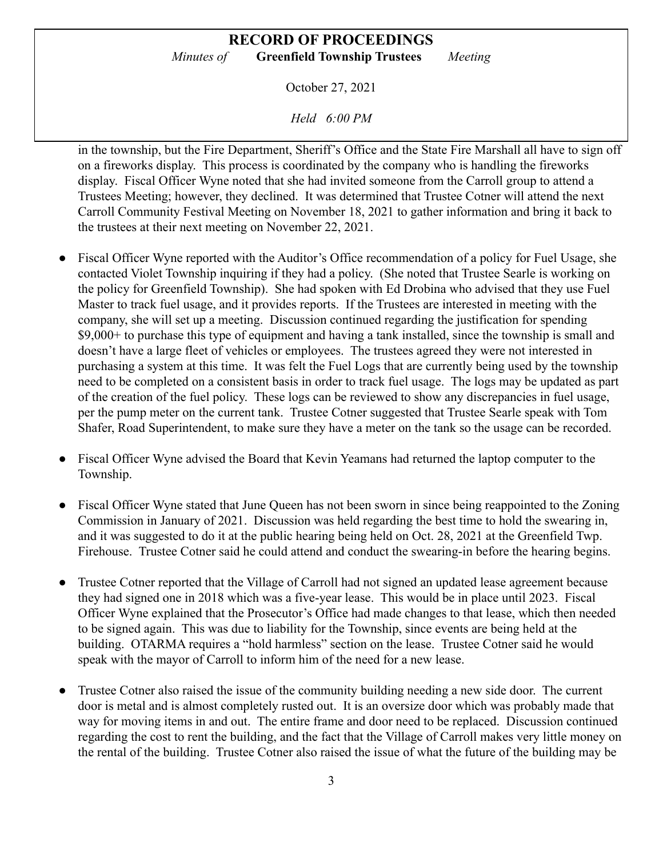October 27, 2021

*Held 6:00 PM*

in the township, but the Fire Department, Sheriff's Office and the State Fire Marshall all have to sign off on a fireworks display. This process is coordinated by the company who is handling the fireworks display. Fiscal Officer Wyne noted that she had invited someone from the Carroll group to attend a Trustees Meeting; however, they declined. It was determined that Trustee Cotner will attend the next Carroll Community Festival Meeting on November 18, 2021 to gather information and bring it back to the trustees at their next meeting on November 22, 2021.

- Fiscal Officer Wyne reported with the Auditor's Office recommendation of a policy for Fuel Usage, she contacted Violet Township inquiring if they had a policy. (She noted that Trustee Searle is working on the policy for Greenfield Township). She had spoken with Ed Drobina who advised that they use Fuel Master to track fuel usage, and it provides reports. If the Trustees are interested in meeting with the company, she will set up a meeting. Discussion continued regarding the justification for spending \$9,000+ to purchase this type of equipment and having a tank installed, since the township is small and doesn't have a large fleet of vehicles or employees. The trustees agreed they were not interested in purchasing a system at this time. It was felt the Fuel Logs that are currently being used by the township need to be completed on a consistent basis in order to track fuel usage. The logs may be updated as part of the creation of the fuel policy. These logs can be reviewed to show any discrepancies in fuel usage, per the pump meter on the current tank. Trustee Cotner suggested that Trustee Searle speak with Tom Shafer, Road Superintendent, to make sure they have a meter on the tank so the usage can be recorded.
- Fiscal Officer Wyne advised the Board that Kevin Yeamans had returned the laptop computer to the Township.
- Fiscal Officer Wyne stated that June Queen has not been sworn in since being reappointed to the Zoning Commission in January of 2021. Discussion was held regarding the best time to hold the swearing in, and it was suggested to do it at the public hearing being held on Oct. 28, 2021 at the Greenfield Twp. Firehouse. Trustee Cotner said he could attend and conduct the swearing-in before the hearing begins.
- Trustee Cotner reported that the Village of Carroll had not signed an updated lease agreement because they had signed one in 2018 which was a five-year lease. This would be in place until 2023. Fiscal Officer Wyne explained that the Prosecutor's Office had made changes to that lease, which then needed to be signed again. This was due to liability for the Township, since events are being held at the building. OTARMA requires a "hold harmless" section on the lease. Trustee Cotner said he would speak with the mayor of Carroll to inform him of the need for a new lease.
- Trustee Cotner also raised the issue of the community building needing a new side door. The current door is metal and is almost completely rusted out. It is an oversize door which was probably made that way for moving items in and out. The entire frame and door need to be replaced. Discussion continued regarding the cost to rent the building, and the fact that the Village of Carroll makes very little money on the rental of the building. Trustee Cotner also raised the issue of what the future of the building may be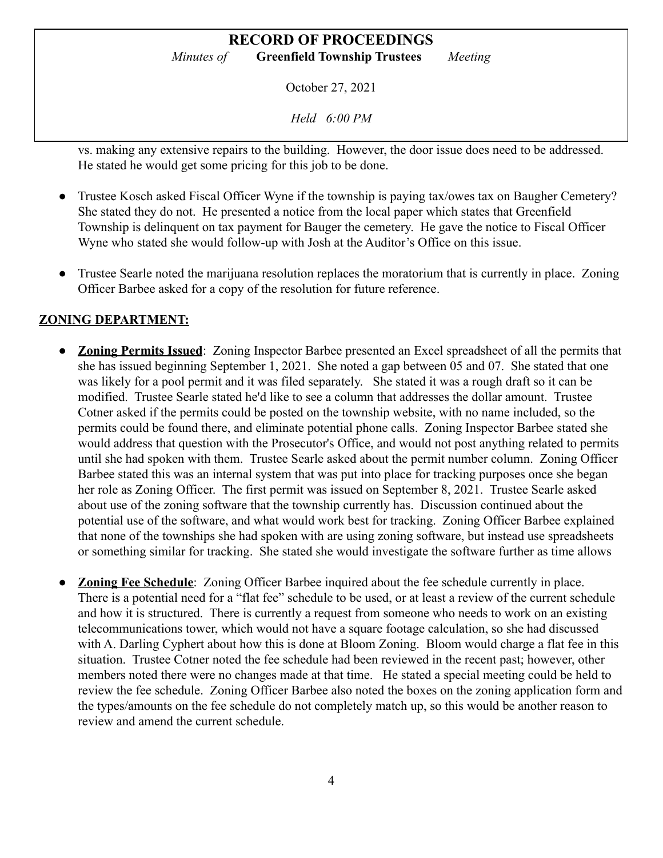## **RECORD OF PROCEEDINGS**

*Minutes of* **Greenfield Township Trustees** *Meeting*

October 27, 2021

*Held 6:00 PM*

vs. making any extensive repairs to the building. However, the door issue does need to be addressed. He stated he would get some pricing for this job to be done.

- Trustee Kosch asked Fiscal Officer Wyne if the township is paying tax/owes tax on Baugher Cemetery? She stated they do not. He presented a notice from the local paper which states that Greenfield Township is delinquent on tax payment for Bauger the cemetery. He gave the notice to Fiscal Officer Wyne who stated she would follow-up with Josh at the Auditor's Office on this issue.
- Trustee Searle noted the marijuana resolution replaces the moratorium that is currently in place. Zoning Officer Barbee asked for a copy of the resolution for future reference.

#### **ZONING DEPARTMENT:**

- **Zoning Permits Issued:** Zoning Inspector Barbee presented an Excel spreadsheet of all the permits that she has issued beginning September 1, 2021. She noted a gap between 05 and 07. She stated that one was likely for a pool permit and it was filed separately. She stated it was a rough draft so it can be modified. Trustee Searle stated he'd like to see a column that addresses the dollar amount. Trustee Cotner asked if the permits could be posted on the township website, with no name included, so the permits could be found there, and eliminate potential phone calls. Zoning Inspector Barbee stated she would address that question with the Prosecutor's Office, and would not post anything related to permits until she had spoken with them. Trustee Searle asked about the permit number column. Zoning Officer Barbee stated this was an internal system that was put into place for tracking purposes once she began her role as Zoning Officer. The first permit was issued on September 8, 2021. Trustee Searle asked about use of the zoning software that the township currently has. Discussion continued about the potential use of the software, and what would work best for tracking. Zoning Officer Barbee explained that none of the townships she had spoken with are using zoning software, but instead use spreadsheets or something similar for tracking. She stated she would investigate the software further as time allows
- **Zoning Fee Schedule**: Zoning Officer Barbee inquired about the fee schedule currently in place. There is a potential need for a "flat fee" schedule to be used, or at least a review of the current schedule and how it is structured. There is currently a request from someone who needs to work on an existing telecommunications tower, which would not have a square footage calculation, so she had discussed with A. Darling Cyphert about how this is done at Bloom Zoning. Bloom would charge a flat fee in this situation. Trustee Cotner noted the fee schedule had been reviewed in the recent past; however, other members noted there were no changes made at that time. He stated a special meeting could be held to review the fee schedule. Zoning Officer Barbee also noted the boxes on the zoning application form and the types/amounts on the fee schedule do not completely match up, so this would be another reason to review and amend the current schedule.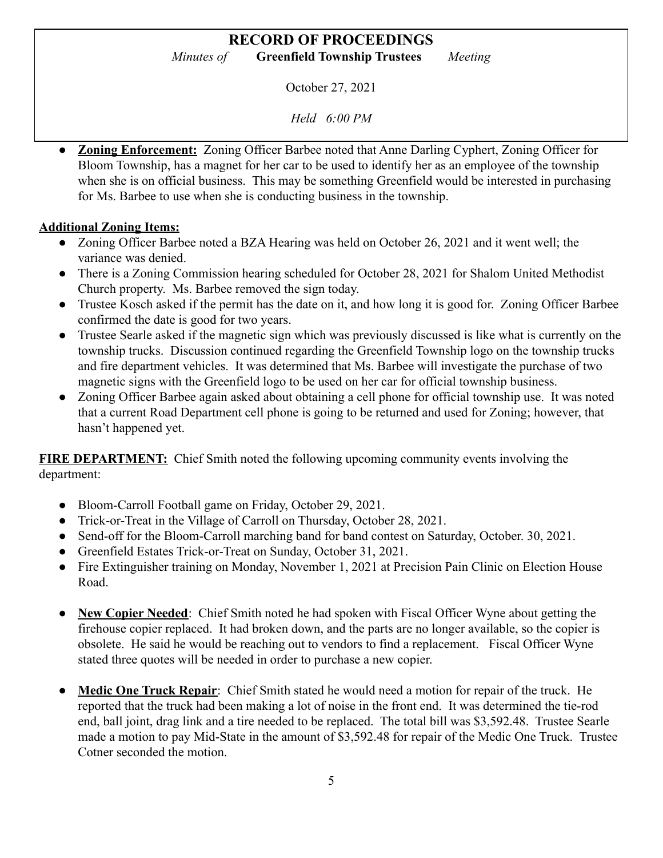October 27, 2021

*Held 6:00 PM*

**Zoning Enforcement:** Zoning Officer Barbee noted that Anne Darling Cyphert, Zoning Officer for Bloom Township, has a magnet for her car to be used to identify her as an employee of the township when she is on official business. This may be something Greenfield would be interested in purchasing for Ms. Barbee to use when she is conducting business in the township.

#### **Additional Zoning Items:**

- Zoning Officer Barbee noted a BZA Hearing was held on October 26, 2021 and it went well; the variance was denied.
- There is a Zoning Commission hearing scheduled for October 28, 2021 for Shalom United Methodist Church property. Ms. Barbee removed the sign today.
- Trustee Kosch asked if the permit has the date on it, and how long it is good for. Zoning Officer Barbee confirmed the date is good for two years.
- Trustee Searle asked if the magnetic sign which was previously discussed is like what is currently on the township trucks. Discussion continued regarding the Greenfield Township logo on the township trucks and fire department vehicles. It was determined that Ms. Barbee will investigate the purchase of two magnetic signs with the Greenfield logo to be used on her car for official township business.
- Zoning Officer Barbee again asked about obtaining a cell phone for official township use. It was noted that a current Road Department cell phone is going to be returned and used for Zoning; however, that hasn't happened yet.

**FIRE DEPARTMENT:** Chief Smith noted the following upcoming community events involving the department:

- Bloom-Carroll Football game on Friday, October 29, 2021.
- Trick-or-Treat in the Village of Carroll on Thursday, October 28, 2021.
- Send-off for the Bloom-Carroll marching band for band contest on Saturday, October. 30, 2021.
- Greenfield Estates Trick-or-Treat on Sunday, October 31, 2021.
- Fire Extinguisher training on Monday, November 1, 2021 at Precision Pain Clinic on Election House Road.
- **New Copier Needed**: Chief Smith noted he had spoken with Fiscal Officer Wyne about getting the firehouse copier replaced. It had broken down, and the parts are no longer available, so the copier is obsolete. He said he would be reaching out to vendors to find a replacement. Fiscal Officer Wyne stated three quotes will be needed in order to purchase a new copier.
- **Medic One Truck Repair**: Chief Smith stated he would need a motion for repair of the truck. He reported that the truck had been making a lot of noise in the front end. It was determined the tie-rod end, ball joint, drag link and a tire needed to be replaced. The total bill was \$3,592.48. Trustee Searle made a motion to pay Mid-State in the amount of \$3,592.48 for repair of the Medic One Truck. Trustee Cotner seconded the motion.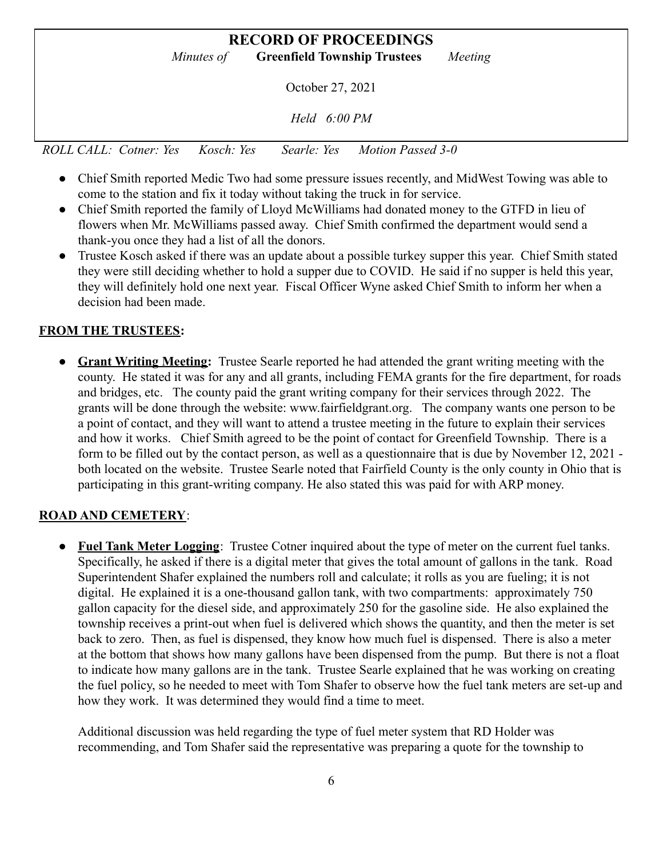# **RECORD OF PROCEEDINGS** *Minutes of* **Greenfield Township Trustees** *Meeting* October 27, 2021 *Held 6:00 PM ROLL CALL: Cotner: Yes Kosch: Yes Searle: Yes Motion Passed 3-0*

- Chief Smith reported Medic Two had some pressure issues recently, and MidWest Towing was able to come to the station and fix it today without taking the truck in for service.
- Chief Smith reported the family of Lloyd McWilliams had donated money to the GTFD in lieu of flowers when Mr. McWilliams passed away. Chief Smith confirmed the department would send a thank-you once they had a list of all the donors.
- Trustee Kosch asked if there was an update about a possible turkey supper this year. Chief Smith stated they were still deciding whether to hold a supper due to COVID. He said if no supper is held this year, they will definitely hold one next year. Fiscal Officer Wyne asked Chief Smith to inform her when a decision had been made.

## **FROM THE TRUSTEES:**

**● Grant Writing Meeting:** Trustee Searle reported he had attended the grant writing meeting with the county. He stated it was for any and all grants, including FEMA grants for the fire department, for roads and bridges, etc. The county paid the grant writing company for their services through 2022. The grants will be done through the website: www.fairfieldgrant.org. The company wants one person to be a point of contact, and they will want to attend a trustee meeting in the future to explain their services and how it works. Chief Smith agreed to be the point of contact for Greenfield Township. There is a form to be filled out by the contact person, as well as a questionnaire that is due by November 12, 2021 both located on the website. Trustee Searle noted that Fairfield County is the only county in Ohio that is participating in this grant-writing company. He also stated this was paid for with ARP money.

## **ROAD AND CEMETERY**:

● **Fuel Tank Meter Logging**: Trustee Cotner inquired about the type of meter on the current fuel tanks. Specifically, he asked if there is a digital meter that gives the total amount of gallons in the tank. Road Superintendent Shafer explained the numbers roll and calculate; it rolls as you are fueling; it is not digital. He explained it is a one-thousand gallon tank, with two compartments: approximately 750 gallon capacity for the diesel side, and approximately 250 for the gasoline side. He also explained the township receives a print-out when fuel is delivered which shows the quantity, and then the meter is set back to zero. Then, as fuel is dispensed, they know how much fuel is dispensed. There is also a meter at the bottom that shows how many gallons have been dispensed from the pump. But there is not a float to indicate how many gallons are in the tank. Trustee Searle explained that he was working on creating the fuel policy, so he needed to meet with Tom Shafer to observe how the fuel tank meters are set-up and how they work. It was determined they would find a time to meet.

Additional discussion was held regarding the type of fuel meter system that RD Holder was recommending, and Tom Shafer said the representative was preparing a quote for the township to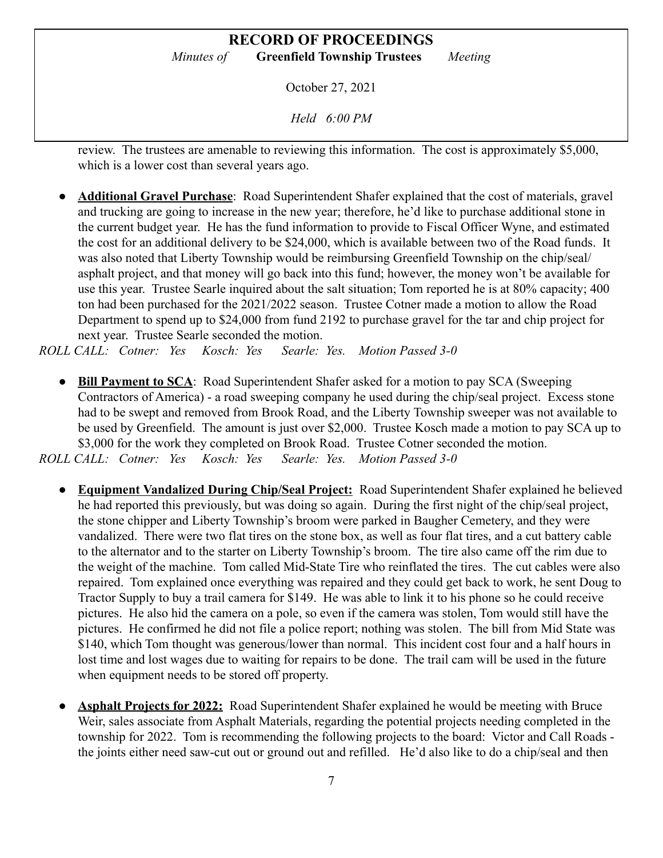## **RECORD OF PROCEEDINGS**

*Minutes of* **Greenfield Township Trustees** *Meeting*

October 27, 2021

*Held 6:00 PM*

review. The trustees are amenable to reviewing this information. The cost is approximately \$5,000, which is a lower cost than several years ago.

● **Additional Gravel Purchase**: Road Superintendent Shafer explained that the cost of materials, gravel and trucking are going to increase in the new year; therefore, he'd like to purchase additional stone in the current budget year. He has the fund information to provide to Fiscal Officer Wyne, and estimated the cost for an additional delivery to be \$24,000, which is available between two of the Road funds. It was also noted that Liberty Township would be reimbursing Greenfield Township on the chip/seal/ asphalt project, and that money will go back into this fund; however, the money won't be available for use this year. Trustee Searle inquired about the salt situation; Tom reported he is at 80% capacity; 400 ton had been purchased for the 2021/2022 season. Trustee Cotner made a motion to allow the Road Department to spend up to \$24,000 from fund 2192 to purchase gravel for the tar and chip project for next year. Trustee Searle seconded the motion.

*ROLL CALL: Cotner: Yes Kosch: Yes Searle: Yes. Motion Passed 3-0*

- **Bill Payment to SCA**: Road Superintendent Shafer asked for a motion to pay SCA (Sweeping Contractors of America) - a road sweeping company he used during the chip/seal project. Excess stone had to be swept and removed from Brook Road, and the Liberty Township sweeper was not available to be used by Greenfield. The amount is just over \$2,000. Trustee Kosch made a motion to pay SCA up to \$3,000 for the work they completed on Brook Road. Trustee Cotner seconded the motion. *ROLL CALL: Cotner: Yes Kosch: Yes Searle: Yes. Motion Passed 3-0*
	- **● Equipment Vandalized During Chip/Seal Project:** Road Superintendent Shafer explained he believed he had reported this previously, but was doing so again. During the first night of the chip/seal project, the stone chipper and Liberty Township's broom were parked in Baugher Cemetery, and they were vandalized. There were two flat tires on the stone box, as well as four flat tires, and a cut battery cable to the alternator and to the starter on Liberty Township's broom. The tire also came off the rim due to the weight of the machine. Tom called Mid-State Tire who reinflated the tires. The cut cables were also repaired. Tom explained once everything was repaired and they could get back to work, he sent Doug to Tractor Supply to buy a trail camera for \$149. He was able to link it to his phone so he could receive pictures. He also hid the camera on a pole, so even if the camera was stolen, Tom would still have the pictures. He confirmed he did not file a police report; nothing was stolen. The bill from Mid State was \$140, which Tom thought was generous/lower than normal. This incident cost four and a half hours in lost time and lost wages due to waiting for repairs to be done. The trail cam will be used in the future when equipment needs to be stored off property.
	- **Asphalt Projects for 2022:** Road Superintendent Shafer explained he would be meeting with Bruce Weir, sales associate from Asphalt Materials, regarding the potential projects needing completed in the township for 2022. Tom is recommending the following projects to the board: Victor and Call Roads the joints either need saw-cut out or ground out and refilled. He'd also like to do a chip/seal and then